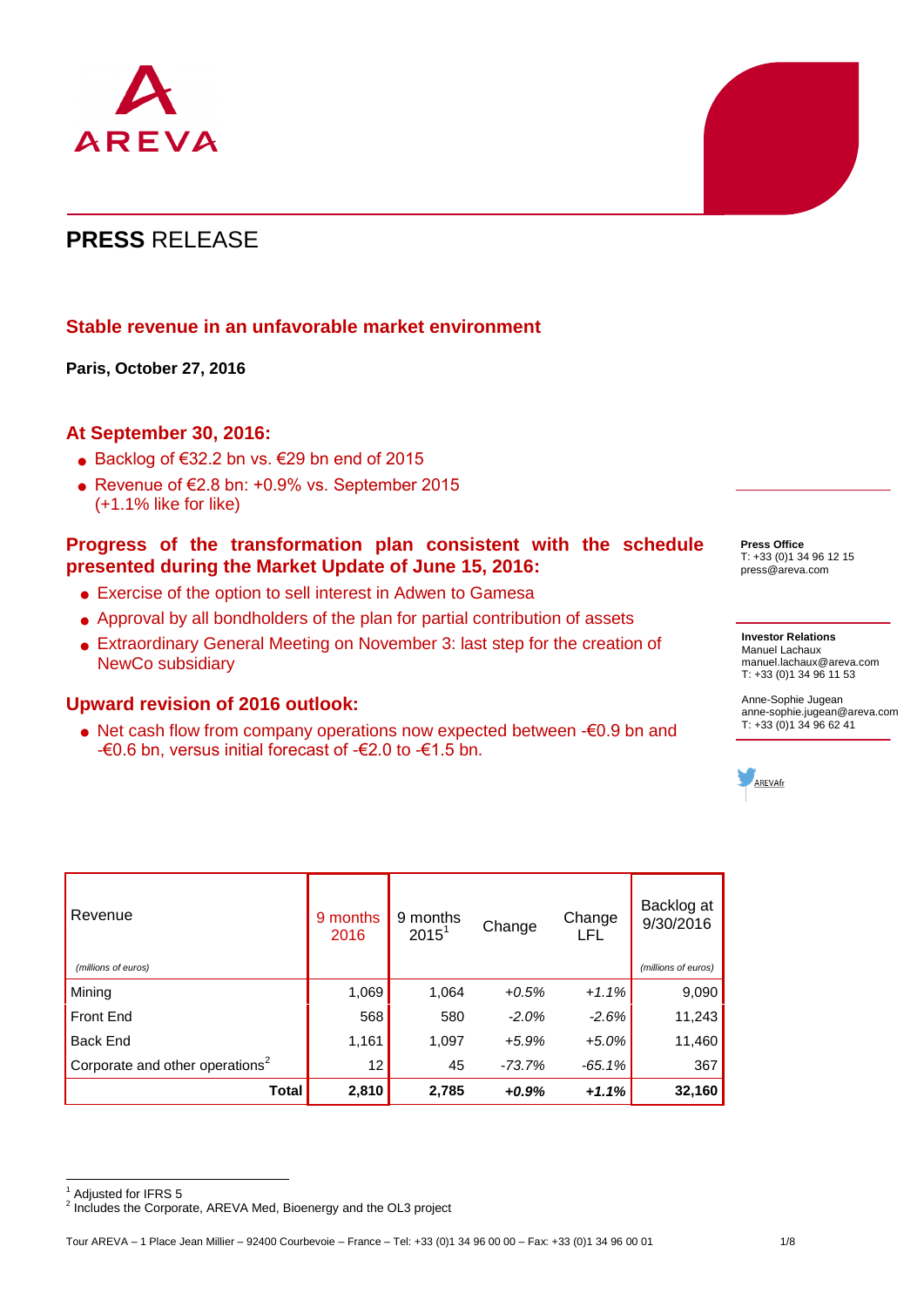

# **PRESS** RELEASE

## **Stable revenue in an unfavorable market environment**

**Paris, October 27, 2016**

## **At September 30, 2016:**

- Backlog of  $€32.2$  bn vs.  $€29$  bn end of 2015
- Revenue of €2.8 bn: +0.9% vs. September 2015 (+1.1% like for like)

### **Progress of the transformation plan consistent with the schedule presented during the Market Update of June 15, 2016:**

- Exercise of the option to sell interest in Adwen to Gamesa
- Approval by all bondholders of the plan for partial contribution of assets
- Extraordinary General Meeting on November 3: last step for the creation of NewCo subsidiary

### **Upward revision of 2016 outlook:**

 Net cash flow from company operations now expected between -€0.9 bn and -€0.6 bn, versus initial forecast of -€2.0 to -€1.5 bn.

Revenue 9 months 2016 9 months  $2015^1$ Change Change LFL Backlog at 9/30/2016  *(millions of euros) (millions of euros)* Mining 1,069 1,064 *+0.5% +1.1%* 9,090 Front End 568 580 *-2.0% -2.6%* 11,243 Back End 1,161 1,097 *+5.9% +5.0%* 11,460 Corporate and other operations<sup>2</sup> 12 45 *-73.7% -65.1%* 367 **Total 2,810 2,785** *+0.9% +1.1%* **32,160**

 $\overline{a}$ 

**Press Office** T: +33 (0)1 34 96 12 15 press@areva.com

#### **Investor Relations** Manuel Lachaux [manuel.lachaux@areva.com](mailto:manuel.lachaux@areva.com) T: +33 (0)1 34 96 11 53

Anne-Sophie Jugean [anne-sophie.jugean@areva.com](mailto:anne-sophie.jugean@areva.com)  T: +33 (0)1 34 96 62 41



Adjusted for IFRS 5

<sup>&</sup>lt;sup>2</sup> Includes the Corporate, AREVA Med, Bioenergy and the OL3 project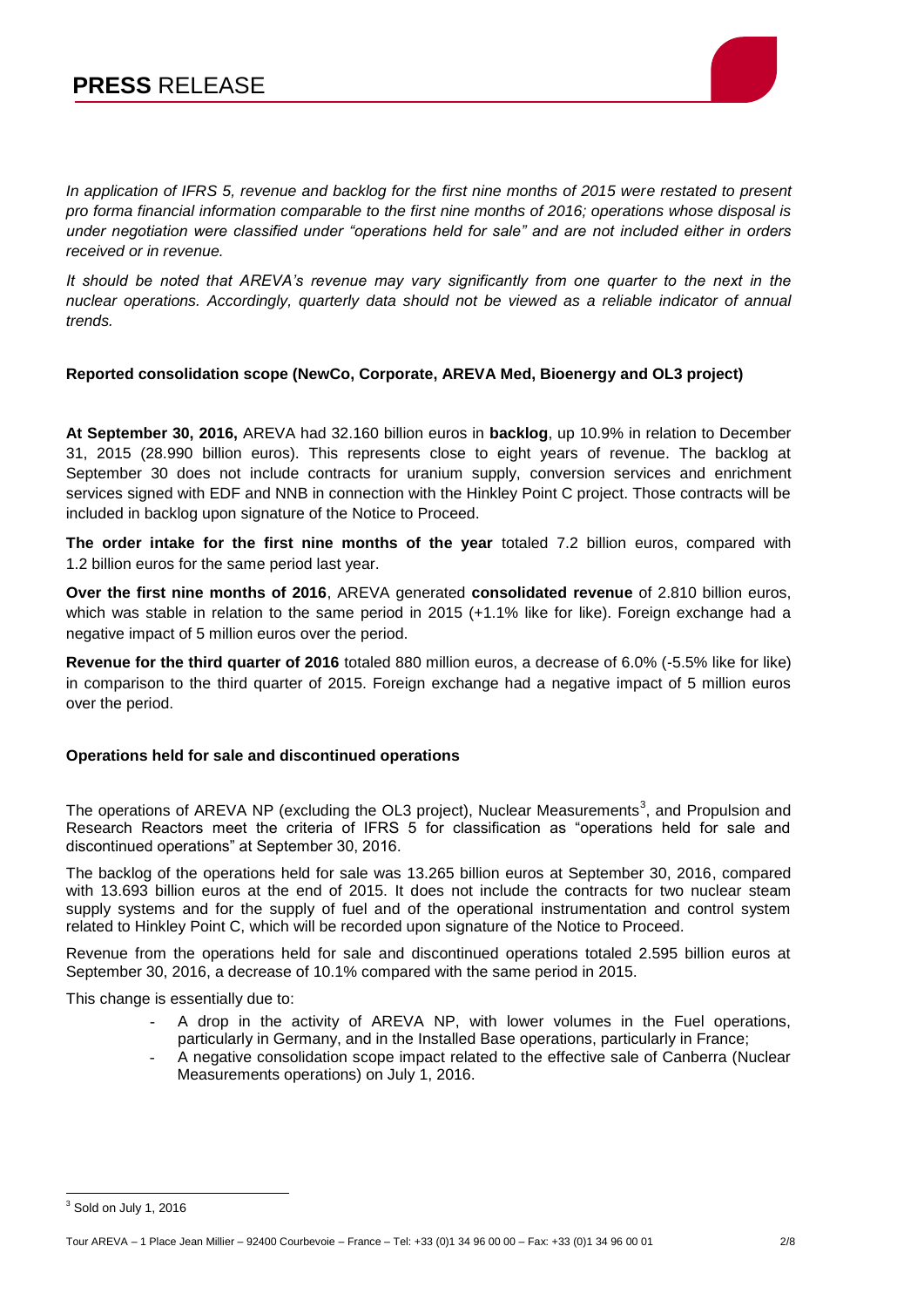

*In application of IFRS 5, revenue and backlog for the first nine months of 2015 were restated to present pro forma financial information comparable to the first nine months of 2016; operations whose disposal is under negotiation were classified under "operations held for sale" and are not included either in orders received or in revenue.*

It should be noted that AREVA's revenue may vary significantly from one quarter to the next in the *nuclear operations. Accordingly, quarterly data should not be viewed as a reliable indicator of annual trends.* 

### **Reported consolidation scope (NewCo, Corporate, AREVA Med, Bioenergy and OL3 project)**

**At September 30, 2016,** AREVA had 32.160 billion euros in **backlog**, up 10.9% in relation to December 31, 2015 (28.990 billion euros). This represents close to eight years of revenue. The backlog at September 30 does not include contracts for uranium supply, conversion services and enrichment services signed with EDF and NNB in connection with the Hinkley Point C project. Those contracts will be included in backlog upon signature of the Notice to Proceed.

**The order intake for the first nine months of the year** totaled 7.2 billion euros, compared with 1.2 billion euros for the same period last year.

**Over the first nine months of 2016**, AREVA generated **consolidated revenue** of 2.810 billion euros, which was stable in relation to the same period in 2015 (+1.1% like for like). Foreign exchange had a negative impact of 5 million euros over the period.

**Revenue for the third quarter of 2016** totaled 880 million euros, a decrease of 6.0% (-5.5% like for like) in comparison to the third quarter of 2015. Foreign exchange had a negative impact of 5 million euros over the period.

### **Operations held for sale and discontinued operations**

The operations of AREVA NP (excluding the OL3 project), Nuclear Measurements<sup>3</sup>, and Propulsion and Research Reactors meet the criteria of IFRS 5 for classification as "operations held for sale and discontinued operations" at September 30, 2016.

The backlog of the operations held for sale was 13.265 billion euros at September 30, 2016, compared with 13.693 billion euros at the end of 2015. It does not include the contracts for two nuclear steam supply systems and for the supply of fuel and of the operational instrumentation and control system related to Hinkley Point C, which will be recorded upon signature of the Notice to Proceed.

Revenue from the operations held for sale and discontinued operations totaled 2.595 billion euros at September 30, 2016, a decrease of 10.1% compared with the same period in 2015.

This change is essentially due to:

- A drop in the activity of AREVA NP, with lower volumes in the Fuel operations, particularly in Germany, and in the Installed Base operations, particularly in France;
- A negative consolidation scope impact related to the effective sale of Canberra (Nuclear Measurements operations) on July 1, 2016.

Tour AREVA – 1 Place Jean Millier – 92400 Courbevoie – France – Tel: +33 (0)1 34 96 00 00 – Fax: +33 (0)1 34 96 00 01 2/8

 <sup>3</sup> Sold on July 1, 2016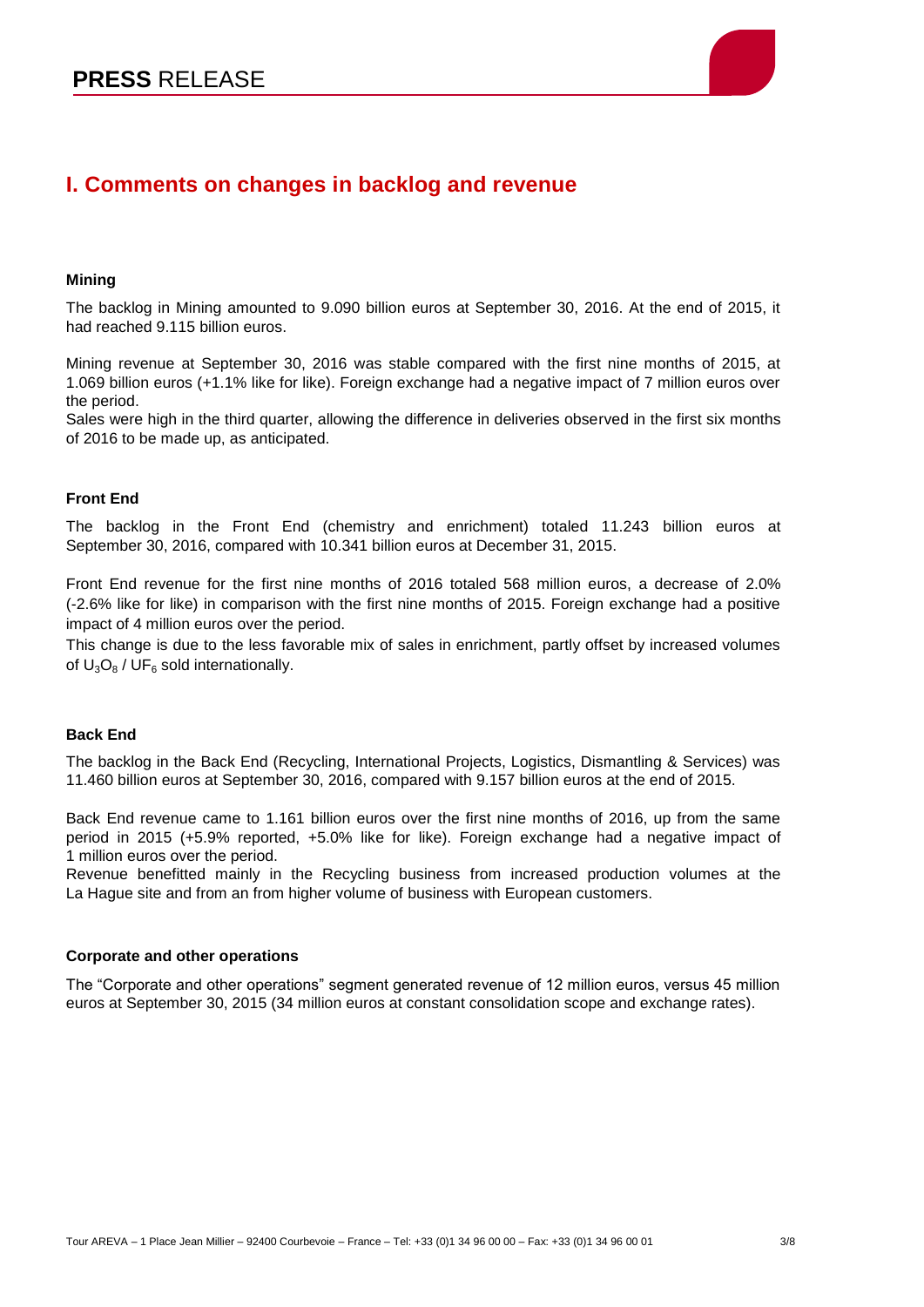

# **I. Comments on changes in backlog and revenue**

#### **Mining**

The backlog in Mining amounted to 9.090 billion euros at September 30, 2016. At the end of 2015, it had reached 9.115 billion euros.

Mining revenue at September 30, 2016 was stable compared with the first nine months of 2015, at 1.069 billion euros (+1.1% like for like). Foreign exchange had a negative impact of 7 million euros over the period.

Sales were high in the third quarter, allowing the difference in deliveries observed in the first six months of 2016 to be made up, as anticipated.

#### **Front End**

The backlog in the Front End (chemistry and enrichment) totaled 11.243 billion euros at September 30, 2016, compared with 10.341 billion euros at December 31, 2015.

Front End revenue for the first nine months of 2016 totaled 568 million euros, a decrease of 2.0% (-2.6% like for like) in comparison with the first nine months of 2015. Foreign exchange had a positive impact of 4 million euros over the period.

This change is due to the less favorable mix of sales in enrichment, partly offset by increased volumes of  $U_3O_8$  / UF<sub>6</sub> sold internationally.

### **Back End**

The backlog in the Back End (Recycling, International Projects, Logistics, Dismantling & Services) was 11.460 billion euros at September 30, 2016, compared with 9.157 billion euros at the end of 2015.

Back End revenue came to 1.161 billion euros over the first nine months of 2016, up from the same period in 2015 (+5.9% reported, +5.0% like for like). Foreign exchange had a negative impact of 1 million euros over the period.

Revenue benefitted mainly in the Recycling business from increased production volumes at the La Hague site and from an from higher volume of business with European customers.

#### **Corporate and other operations**

The "Corporate and other operations" segment generated revenue of 12 million euros, versus 45 million euros at September 30, 2015 (34 million euros at constant consolidation scope and exchange rates).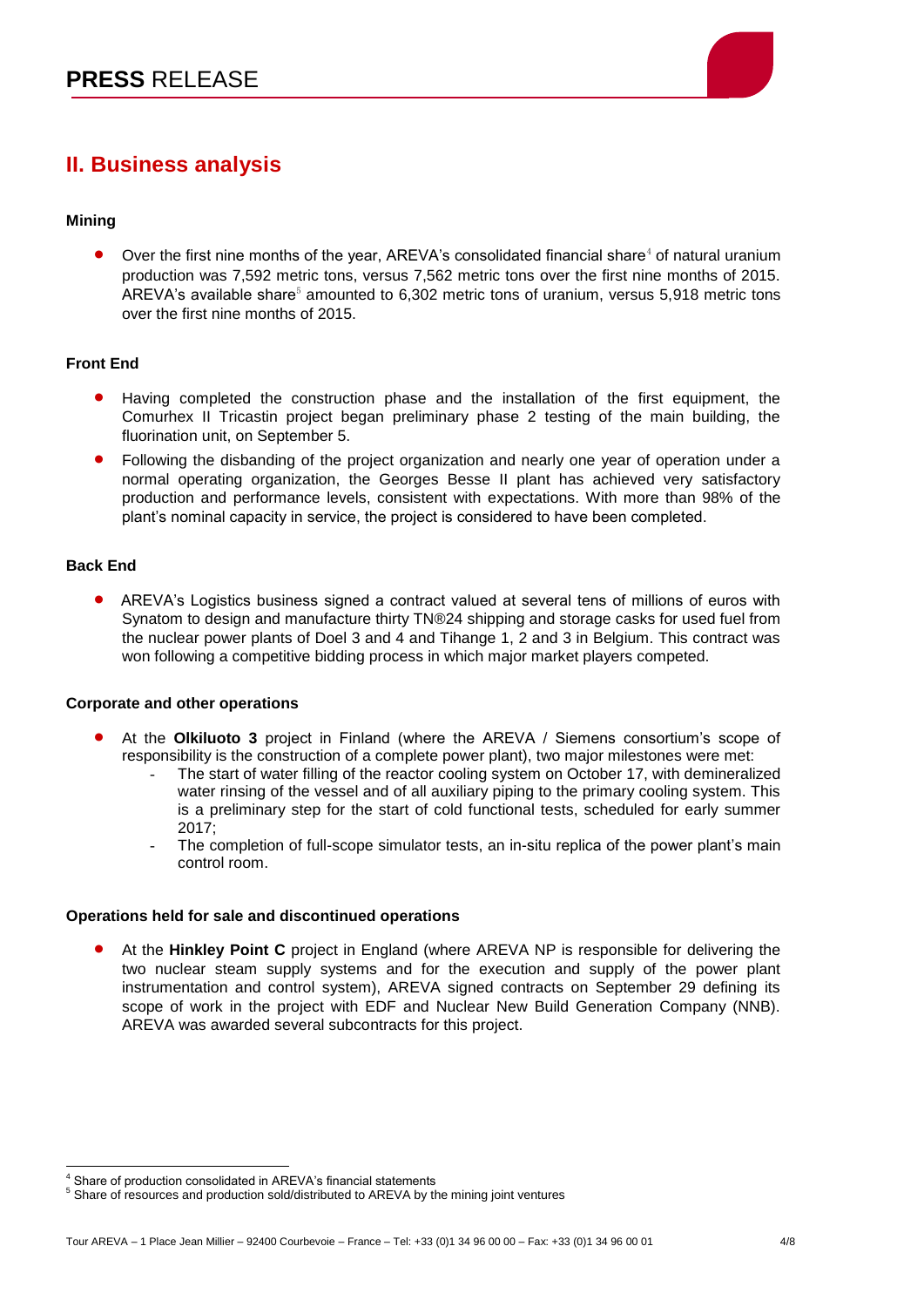

# **II. Business analysis**

### **Mining**

Over the first nine months of the year, AREVA's consolidated financial share $4$  of natural uranium production was 7,592 metric tons, versus 7,562 metric tons over the first nine months of 2015. AREVA's available share $5$  amounted to 6,302 metric tons of uranium, versus 5,918 metric tons over the first nine months of 2015.

### **Front End**

- Having completed the construction phase and the installation of the first equipment, the Comurhex II Tricastin project began preliminary phase 2 testing of the main building, the fluorination unit, on September 5.
- Following the disbanding of the project organization and nearly one year of operation under a normal operating organization, the Georges Besse II plant has achieved very satisfactory production and performance levels, consistent with expectations. With more than 98% of the plant's nominal capacity in service, the project is considered to have been completed.

### **Back End**

 AREVA's Logistics business signed a contract valued at several tens of millions of euros with Synatom to design and manufacture thirty TN®24 shipping and storage casks for used fuel from the nuclear power plants of Doel 3 and 4 and Tihange 1, 2 and 3 in Belgium. This contract was won following a competitive bidding process in which major market players competed.

### **Corporate and other operations**

- At the **Olkiluoto 3** project in Finland (where the AREVA / Siemens consortium's scope of responsibility is the construction of a complete power plant), two major milestones were met:
	- The start of water filling of the reactor cooling system on October 17, with demineralized water rinsing of the vessel and of all auxiliary piping to the primary cooling system. This is a preliminary step for the start of cold functional tests, scheduled for early summer 2017;
	- The completion of full-scope simulator tests, an in-situ replica of the power plant's main control room.

### **Operations held for sale and discontinued operations**

 At the **Hinkley Point C** project in England (where AREVA NP is responsible for delivering the two nuclear steam supply systems and for the execution and supply of the power plant instrumentation and control system), AREVA signed contracts on September 29 defining its scope of work in the project with EDF and Nuclear New Build Generation Company (NNB). AREVA was awarded several subcontracts for this project.

 $\overline{a}$ <sup>4</sup> Share of production consolidated in AREVA's financial statements

<sup>&</sup>lt;sup>5</sup> Share of resources and production sold/distributed to AREVA by the mining joint ventures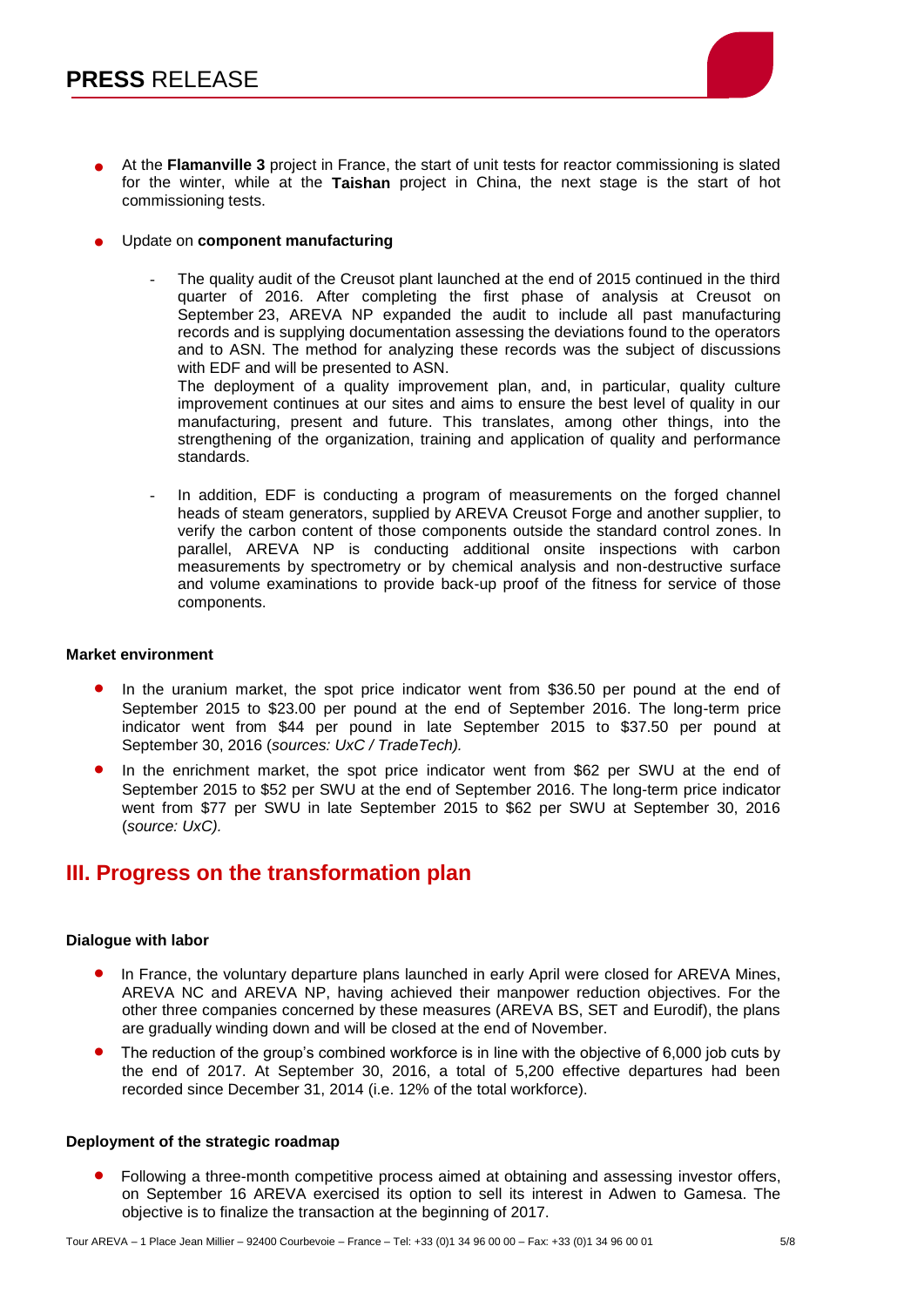

- At the **Flamanville 3** project in France, the start of unit tests for reactor commissioning is slated for the winter, while at the **Taishan** project in China, the next stage is the start of hot commissioning tests.
- Update on **component manufacturing**
	- The quality audit of the Creusot plant launched at the end of 2015 continued in the third quarter of 2016. After completing the first phase of analysis at Creusot on September 23, AREVA NP expanded the audit to include all past manufacturing records and is supplying documentation assessing the deviations found to the operators and to ASN. The method for analyzing these records was the subject of discussions with EDF and will be presented to ASN.

The deployment of a quality improvement plan, and, in particular, quality culture improvement continues at our sites and aims to ensure the best level of quality in our manufacturing, present and future. This translates, among other things, into the strengthening of the organization, training and application of quality and performance standards.

In addition, EDF is conducting a program of measurements on the forged channel heads of steam generators, supplied by AREVA Creusot Forge and another supplier, to verify the carbon content of those components outside the standard control zones. In parallel, AREVA NP is conducting additional onsite inspections with carbon measurements by spectrometry or by chemical analysis and non-destructive surface and volume examinations to provide back-up proof of the fitness for service of those components.

#### **Market environment**

- In the uranium market, the spot price indicator went from \$36.50 per pound at the end of September 2015 to \$23.00 per pound at the end of September 2016. The long-term price indicator went from \$44 per pound in late September 2015 to \$37.50 per pound at September 30, 2016 (*sources: UxC / TradeTech).*
- In the enrichment market, the spot price indicator went from \$62 per SWU at the end of September 2015 to \$52 per SWU at the end of September 2016. The long-term price indicator went from \$77 per SWU in late September 2015 to \$62 per SWU at September 30, 2016 (*source: UxC).*

## **III. Progress on the transformation plan**

#### **Dialogue with labor**

- In France, the voluntary departure plans launched in early April were closed for AREVA Mines, AREVA NC and AREVA NP, having achieved their manpower reduction objectives. For the other three companies concerned by these measures (AREVA BS, SET and Eurodif), the plans are gradually winding down and will be closed at the end of November.
- The reduction of the group's combined workforce is in line with the objective of 6,000 job cuts by the end of 2017. At September 30, 2016, a total of 5,200 effective departures had been recorded since December 31, 2014 (i.e. 12% of the total workforce).

#### **Deployment of the strategic roadmap**

 Following a three-month competitive process aimed at obtaining and assessing investor offers, on September 16 AREVA exercised its option to sell its interest in Adwen to Gamesa. The objective is to finalize the transaction at the beginning of 2017.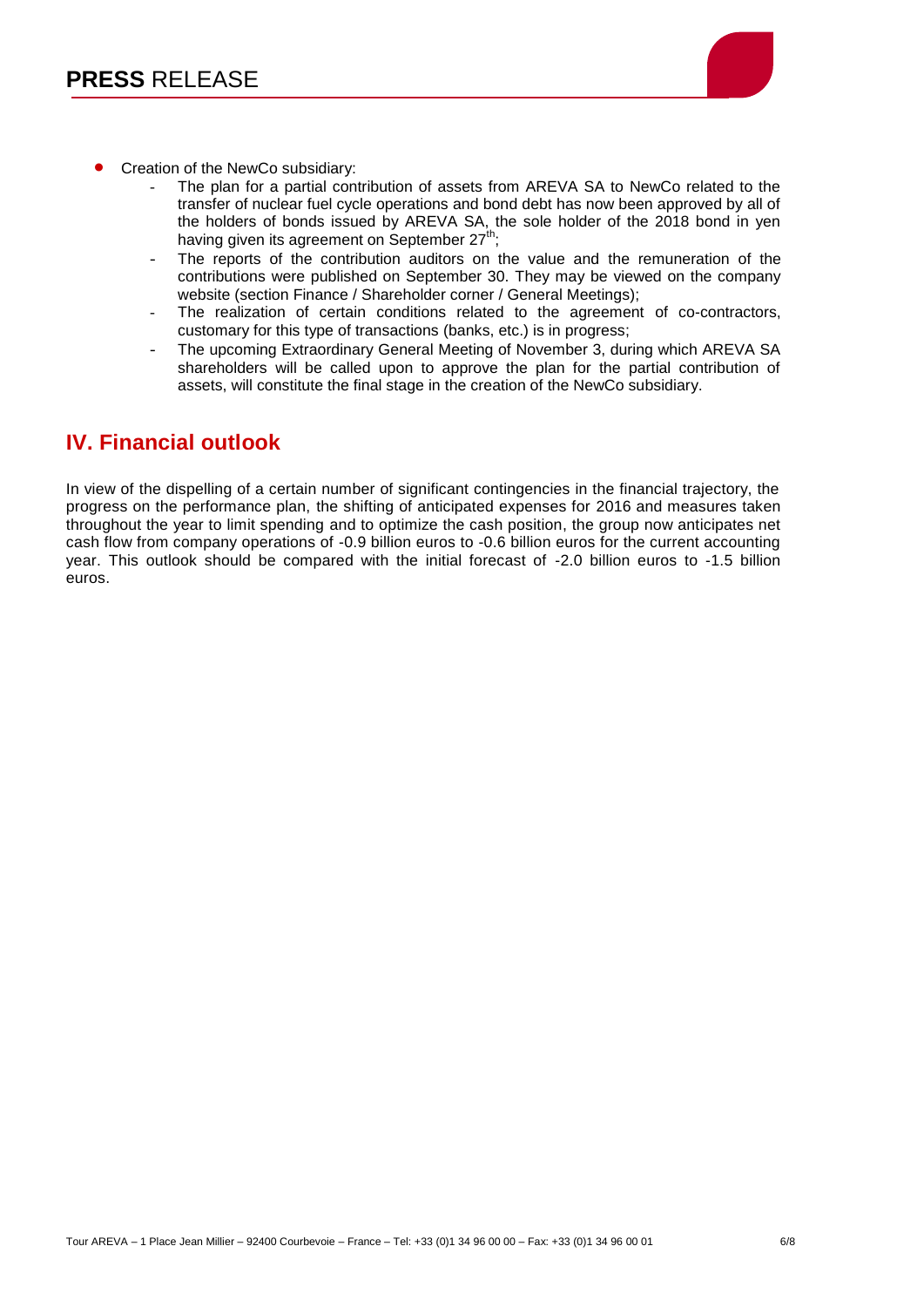

- Creation of the NewCo subsidiary:
	- The plan for a partial contribution of assets from AREVA SA to NewCo related to the transfer of nuclear fuel cycle operations and bond debt has now been approved by all of the holders of bonds issued by AREVA SA, the sole holder of the 2018 bond in yen having given its agreement on September  $27<sup>th</sup>$ ;
	- The reports of the contribution auditors on the value and the remuneration of the contributions were published on September 30. They may be viewed on the company website (section Finance / Shareholder corner / General Meetings);
	- The realization of certain conditions related to the agreement of co-contractors, customary for this type of transactions (banks, etc.) is in progress;
	- The upcoming Extraordinary General Meeting of November 3, during which AREVA SA shareholders will be called upon to approve the plan for the partial contribution of assets, will constitute the final stage in the creation of the NewCo subsidiary.

# **IV. Financial outlook**

In view of the dispelling of a certain number of significant contingencies in the financial trajectory, the progress on the performance plan, the shifting of anticipated expenses for 2016 and measures taken throughout the year to limit spending and to optimize the cash position, the group now anticipates net cash flow from company operations of -0.9 billion euros to -0.6 billion euros for the current accounting year. This outlook should be compared with the initial forecast of -2.0 billion euros to -1.5 billion euros.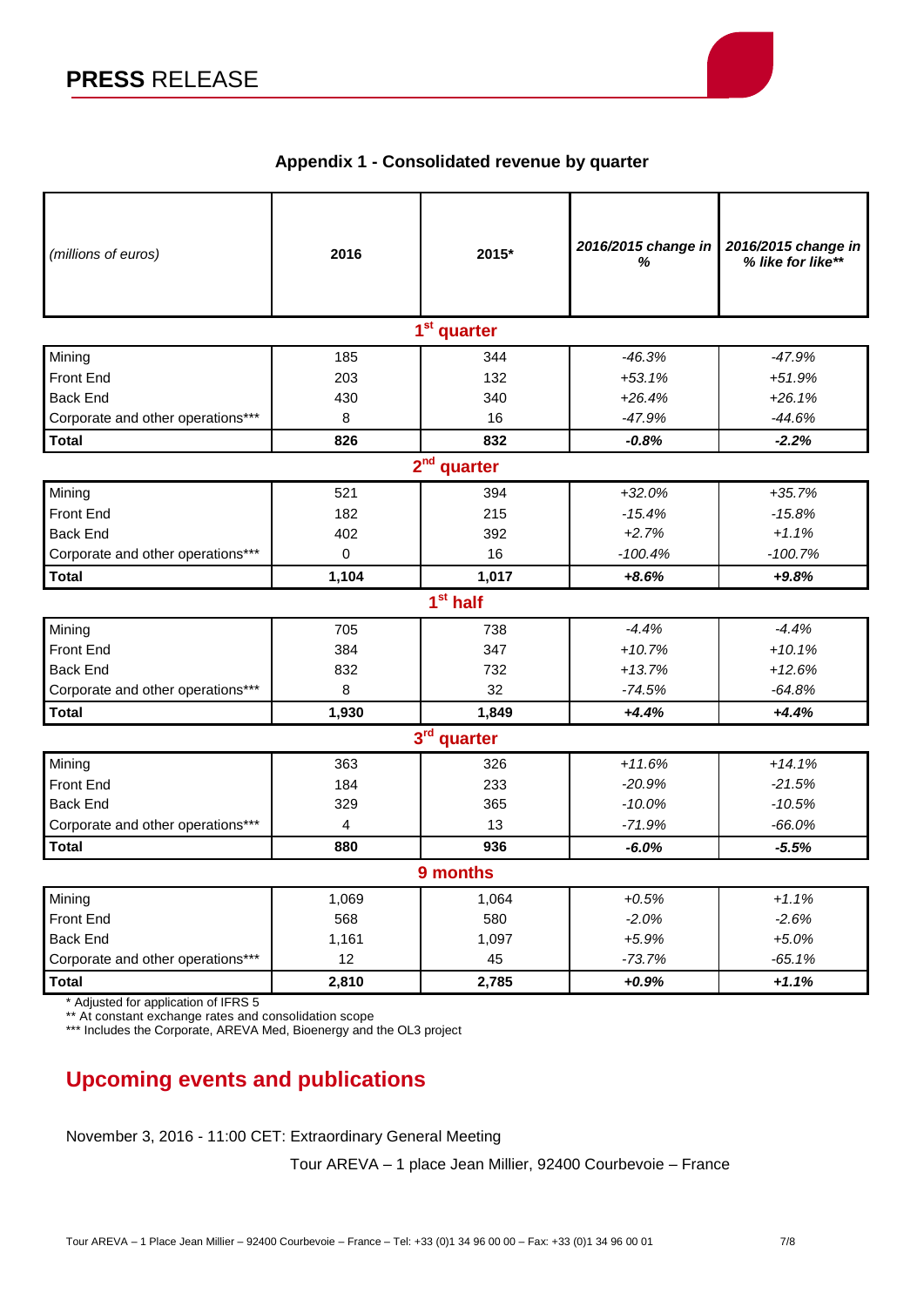

## **Appendix 1 - Consolidated revenue by quarter**

| (millions of euros)               | 2016        | 2015* | 2016/2015 change in<br>% | 2016/2015 change in<br>% like for like** |
|-----------------------------------|-------------|-------|--------------------------|------------------------------------------|
| 1 <sup>st</sup> quarter           |             |       |                          |                                          |
| Mining                            | 185         | 344   | $-46.3%$                 | $-47.9%$                                 |
| <b>Front End</b>                  | 203         | 132   | $+53.1%$                 | $+51.9%$                                 |
| <b>Back End</b>                   | 430         | 340   | $+26.4%$                 | $+26.1%$                                 |
| Corporate and other operations*** | 8           | 16    | $-47.9%$                 | $-44.6%$                                 |
| <b>Total</b>                      | 826         | 832   | $-0.8%$                  | $-2.2%$                                  |
| $2nd$ quarter                     |             |       |                          |                                          |
| Mining                            | 521         | 394   | $+32.0%$                 | $+35.7%$                                 |
| Front End                         | 182         | 215   | $-15.4%$                 | $-15.8%$                                 |
| <b>Back End</b>                   | 402         | 392   | $+2.7%$                  | $+1.1%$                                  |
| Corporate and other operations*** | $\mathbf 0$ | 16    | $-100.4%$                | $-100.7%$                                |
| <b>Total</b>                      | 1,104       | 1,017 | $+8.6%$                  | $+9.8%$                                  |
| 1 <sup>st</sup> half              |             |       |                          |                                          |
| Mining                            | 705         | 738   | $-4.4%$                  | $-4.4%$                                  |
| <b>Front End</b>                  | 384         | 347   | $+10.7%$                 | $+10.1%$                                 |
| <b>Back End</b>                   | 832         | 732   | $+13.7%$                 | $+12.6%$                                 |
| Corporate and other operations*** | 8           | 32    | $-74.5%$                 | $-64.8%$                                 |
| <b>Total</b>                      | 1,930       | 1,849 | $+4.4%$                  | $+4.4%$                                  |
| $3rd$ quarter                     |             |       |                          |                                          |
| Mining                            | 363         | 326   | $+11.6%$                 | $+14.1%$                                 |
| <b>Front End</b>                  | 184         | 233   | $-20.9%$                 | $-21.5%$                                 |
| <b>Back End</b>                   | 329         | 365   | $-10.0%$                 | $-10.5%$                                 |
| Corporate and other operations*** | 4           | 13    | $-71.9%$                 | $-66.0%$                                 |
| <b>Total</b>                      | 880         | 936   | $-6.0%$                  | $-5.5%$                                  |
| 9 months                          |             |       |                          |                                          |
| Mining                            | 1,069       | 1,064 | $+0.5%$                  | $+1.1%$                                  |
| <b>Front End</b>                  | 568         | 580   | $-2.0%$                  | $-2.6%$                                  |
| <b>Back End</b>                   | 1,161       | 1,097 | $+5.9%$                  | $+5.0%$                                  |
| Corporate and other operations*** | 12          | 45    | $-73.7%$                 | $-65.1%$                                 |
| <b>Total</b>                      | 2,810       | 2,785 | $+0.9%$                  | $+1.1%$                                  |

\* Adjusted for application of IFRS 5

\*\* At constant exchange rates and consolidation scope

\*\*\* Includes the Corporate, AREVA Med, Bioenergy and the OL3 project

# **Upcoming events and publications**

November 3, 2016 - 11:00 CET: Extraordinary General Meeting

Tour AREVA – 1 place Jean Millier, 92400 Courbevoie – France